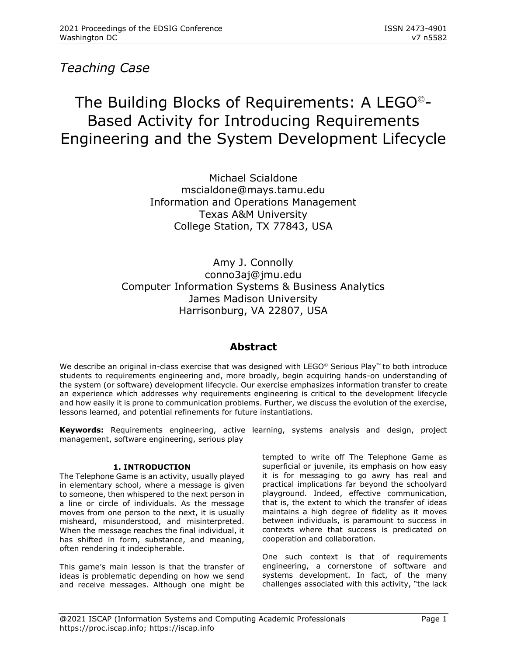## *Teaching Case*

# The Building Blocks of Requirements: A LEGO©- Based Activity for Introducing Requirements Engineering and the System Development Lifecycle

Michael Scialdone mscialdone@mays.tamu.edu Information and Operations Management Texas A&M University College Station, TX 77843, USA

Amy J. Connolly conno3aj@jmu.edu Computer Information Systems & Business Analytics James Madison University Harrisonburg, VA 22807, USA

### **Abstract**

We describe an original in-class exercise that was designed with LEGO<sup>©</sup> Serious Play<sup>™</sup> to both introduce students to requirements engineering and, more broadly, begin acquiring hands-on understanding of the system (or software) development lifecycle. Our exercise emphasizes information transfer to create an experience which addresses why requirements engineering is critical to the development lifecycle and how easily it is prone to communication problems. Further, we discuss the evolution of the exercise, lessons learned, and potential refinements for future instantiations.

**Keywords:** Requirements engineering, active learning, systems analysis and design, project management, software engineering, serious play

#### **1. INTRODUCTION**

The Telephone Game is an activity, usually played in elementary school, where a message is given to someone, then whispered to the next person in a line or circle of individuals. As the message moves from one person to the next, it is usually misheard, misunderstood, and misinterpreted. When the message reaches the final individual, it has shifted in form, substance, and meaning, often rendering it indecipherable.

This game's main lesson is that the transfer of ideas is problematic depending on how we send and receive messages. Although one might be tempted to write off The Telephone Game as superficial or juvenile, its emphasis on how easy it is for messaging to go awry has real and practical implications far beyond the schoolyard playground. Indeed, effective communication, that is, the extent to which the transfer of ideas maintains a high degree of fidelity as it moves between individuals, is paramount to success in contexts where that success is predicated on cooperation and collaboration.

One such context is that of requirements engineering, a cornerstone of software and systems development. In fact, of the many challenges associated with this activity, "the lack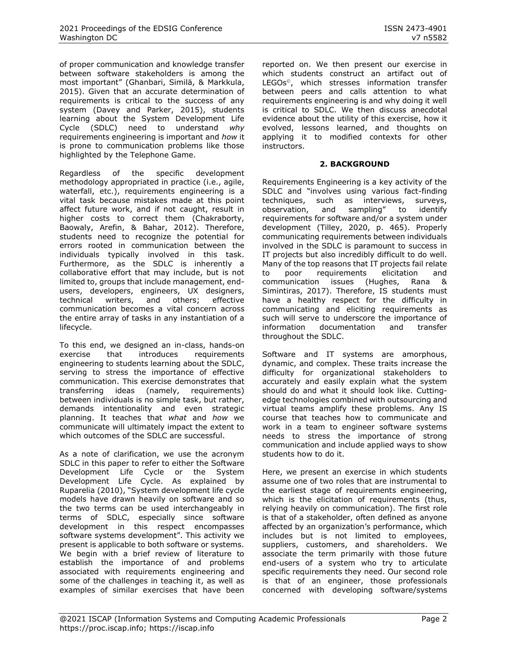of proper communication and knowledge transfer between software stakeholders is among the most important" (Ghanbari, Similä, & Markkula, 2015). Given that an accurate determination of requirements is critical to the success of any system (Davey and Parker, 2015), students learning about the System Development Life Cycle (SDLC) need to understand *why* requirements engineering is important and *how* it is prone to communication problems like those highlighted by the Telephone Game.

Regardless of the specific development methodology appropriated in practice (i.e., agile, waterfall, etc.), requirements engineering is a vital task because mistakes made at this point affect future work, and if not caught, result in higher costs to correct them (Chakraborty, Baowaly, Arefin, & Bahar, 2012). Therefore, students need to recognize the potential for errors rooted in communication between the individuals typically involved in this task. Furthermore, as the SDLC is inherently a collaborative effort that may include, but is not limited to, groups that include management, endusers, developers, engineers, UX designers, technical writers, and others; effective communication becomes a vital concern across the entire array of tasks in any instantiation of a lifecycle.

To this end, we designed an in-class, hands-on exercise that introduces requirements engineering to students learning about the SDLC, serving to stress the importance of effective communication. This exercise demonstrates that transferring ideas (namely, requirements) between individuals is no simple task, but rather, demands intentionality and even strategic planning. It teaches that *what* and *how* we communicate will ultimately impact the extent to which outcomes of the SDLC are successful.

As a note of clarification, we use the acronym SDLC in this paper to refer to either the Software Development Life Cycle or the System Development Life Cycle. As explained by Ruparelia (2010), "System development life cycle models have drawn heavily on software and so the two terms can be used interchangeably in terms of SDLC, especially since software development in this respect encompasses software systems development". This activity we present is applicable to both software or systems. We begin with a brief review of literature to establish the importance of and problems associated with requirements engineering and some of the challenges in teaching it, as well as examples of similar exercises that have been

reported on. We then present our exercise in which students construct an artifact out of LEGOs<sup>®</sup>, which stresses information transfer between peers and calls attention to what requirements engineering is and why doing it well is critical to SDLC. We then discuss anecdotal evidence about the utility of this exercise, how it evolved, lessons learned, and thoughts on applying it to modified contexts for other instructors.

#### **2. BACKGROUND**

Requirements Engineering is a key activity of the SDLC and "involves using various fact-finding techniques, such as interviews, surveys, observation, and sampling" to identify requirements for software and/or a system under development (Tilley, 2020, p. 465). Properly communicating requirements between individuals involved in the SDLC is paramount to success in IT projects but also incredibly difficult to do well. Many of the top reasons that IT projects fail relate to poor requirements elicitation and communication issues (Hughes, Rana & Simintiras, 2017). Therefore, IS students must have a healthy respect for the difficulty in communicating and eliciting requirements as such will serve to underscore the importance of information documentation and transfer throughout the SDLC.

Software and IT systems are amorphous, dynamic, and complex. These traits increase the difficulty for organizational stakeholders to accurately and easily explain what the system should do and what it should look like. Cuttingedge technologies combined with outsourcing and virtual teams amplify these problems. Any IS course that teaches how to communicate and work in a team to engineer software systems needs to stress the importance of strong communication and include applied ways to show students how to do it.

Here, we present an exercise in which students assume one of two roles that are instrumental to the earliest stage of requirements engineering, which is the elicitation of requirements (thus, relying heavily on communication). The first role is that of a stakeholder, often defined as anyone affected by an organization's performance, which includes but is not limited to employees, suppliers, customers, and shareholders. We associate the term primarily with those future end-users of a system who try to articulate specific requirements they need. Our second role is that of an engineer, those professionals concerned with developing software/systems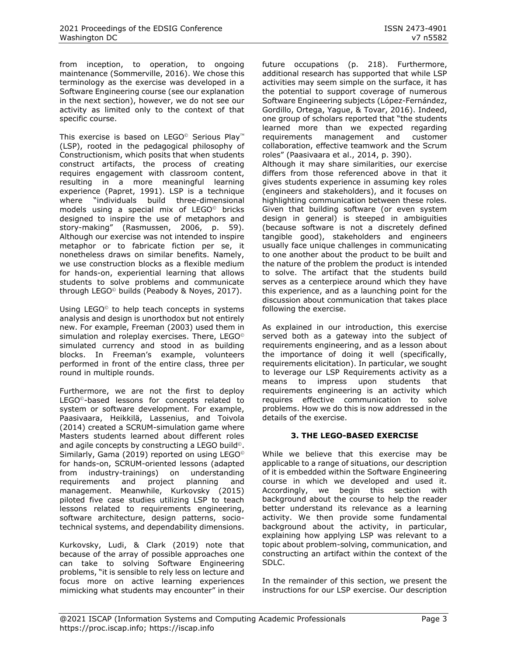from inception, to operation, to ongoing maintenance (Sommerville, 2016). We chose this terminology as the exercise was developed in a Software Engineering course (see our explanation in the next section), however, we do not see our activity as limited only to the context of that specific course.

This exercise is based on LEGO<sup>®</sup> Serious Play<sup>™</sup> (LSP), rooted in the pedagogical philosophy of Constructionism, which posits that when students construct artifacts, the process of creating requires engagement with classroom content, resulting in a more meaningful learning experience (Papret, 1991). LSP is a technique where "individuals build three-dimensional models using a special mix of LEGO<sup>®</sup> bricks designed to inspire the use of metaphors and story-making" (Rasmussen, 2006, p. 59). Although our exercise was not intended to inspire metaphor or to fabricate fiction per se, it nonetheless draws on similar benefits. Namely, we use construction blocks as a flexible medium for hands-on, experiential learning that allows students to solve problems and communicate through LEGO© builds (Peabody & Noyes, 2017).

Using LEGO<sup>®</sup> to help teach concepts in systems analysis and design is unorthodox but not entirely new. For example, Freeman (2003) used them in simulation and roleplay exercises. There, LEGO<sup>®</sup> simulated currency and stood in as building blocks. In Freeman's example, volunteers performed in front of the entire class, three per round in multiple rounds.

Furthermore, we are not the first to deploy LEGO©-based lessons for concepts related to system or software development. For example, Paasivaara, Heikkilä, Lassenius, and Toivola (2014) created a SCRUM-simulation game where Masters students learned about different roles and agile concepts by constructing a LEGO build<sup>®</sup>. Similarly, Gama (2019) reported on using LEGO© for hands-on, SCRUM-oriented lessons (adapted from industry-trainings) on understanding<br>requirements and project planning and requirements and project management. Meanwhile, Kurkovsky (2015) piloted five case studies utilizing LSP to teach lessons related to requirements engineering, software architecture, design patterns, sociotechnical systems, and dependability dimensions.

Kurkovsky, Ludi, & Clark (2019) note that because of the array of possible approaches one can take to solving Software Engineering problems, "it is sensible to rely less on lecture and focus more on active learning experiences mimicking what students may encounter" in their future occupations (p. 218). Furthermore, additional research has supported that while LSP activities may seem simple on the surface, it has the potential to support coverage of numerous Software Engineering subjects (López-Fernández, Gordillo, Ortega, Yague, & Tovar, 2016). Indeed, one group of scholars reported that "the students learned more than we expected regarding requirements management and customer collaboration, effective teamwork and the Scrum roles" (Paasivaara et al., 2014, p. 390). Although it may share similarities, our exercise differs from those referenced above in that it gives students experience in assuming key roles

(engineers and stakeholders), and it focuses on highlighting communication between these roles. Given that building software (or even system design in general) is steeped in ambiguities (because software is not a discretely defined tangible good), stakeholders and engineers usually face unique challenges in communicating to one another about the product to be built and the nature of the problem the product is intended to solve. The artifact that the students build serves as a centerpiece around which they have this experience, and as a launching point for the discussion about communication that takes place following the exercise.

As explained in our introduction, this exercise served both as a gateway into the subject of requirements engineering, and as a lesson about the importance of doing it well (specifically, requirements elicitation). In particular, we sought to leverage our LSP Requirements activity as a means to impress upon students that requirements engineering is an activity which requires effective communication to solve problems. How we do this is now addressed in the details of the exercise.

#### **3. THE LEGO-BASED EXERCISE**

While we believe that this exercise may be applicable to a range of situations, our description of it is embedded within the Software Engineering course in which we developed and used it. Accordingly, we begin this section with background about the course to help the reader better understand its relevance as a learning activity. We then provide some fundamental background about the activity, in particular, explaining how applying LSP was relevant to a topic about problem-solving, communication, and constructing an artifact within the context of the SDLC.

In the remainder of this section, we present the instructions for our LSP exercise. Our description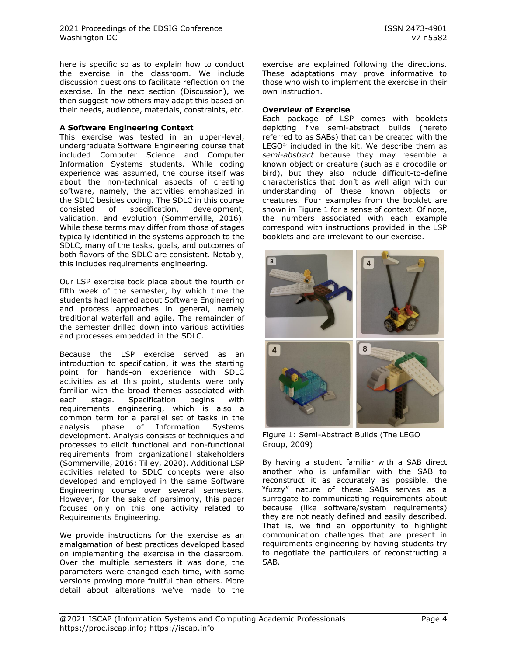here is specific so as to explain how to conduct the exercise in the classroom. We include discussion questions to facilitate reflection on the exercise. In the next section (Discussion), we then suggest how others may adapt this based on their needs, audience, materials, constraints, etc.

#### **A Software Engineering Context**

This exercise was tested in an upper-level, undergraduate Software Engineering course that included Computer Science and Computer Information Systems students. While coding experience was assumed, the course itself was about the non-technical aspects of creating software, namely, the activities emphasized in the SDLC besides coding. The SDLC in this course consisted of specification, development, validation, and evolution (Sommerville, 2016). While these terms may differ from those of stages typically identified in the systems approach to the SDLC, many of the tasks, goals, and outcomes of both flavors of the SDLC are consistent. Notably, this includes requirements engineering.

Our LSP exercise took place about the fourth or fifth week of the semester, by which time the students had learned about Software Engineering and process approaches in general, namely traditional waterfall and agile. The remainder of the semester drilled down into various activities and processes embedded in the SDLC.

Because the LSP exercise served as an introduction to specification, it was the starting point for hands-on experience with SDLC activities as at this point, students were only familiar with the broad themes associated with each stage. Specification begins with requirements engineering, which is also a common term for a parallel set of tasks in the analysis phase of Information Systems development. Analysis consists of techniques and processes to elicit functional and non-functional requirements from organizational stakeholders (Sommerville, 2016; Tilley, 2020). Additional LSP activities related to SDLC concepts were also developed and employed in the same Software Engineering course over several semesters. However, for the sake of parsimony, this paper focuses only on this one activity related to Requirements Engineering.

We provide instructions for the exercise as an amalgamation of best practices developed based on implementing the exercise in the classroom. Over the multiple semesters it was done, the parameters were changed each time, with some versions proving more fruitful than others. More detail about alterations we've made to the

exercise are explained following the directions. These adaptations may prove informative to those who wish to implement the exercise in their own instruction.

#### **Overview of Exercise**

Each package of LSP comes with booklets depicting five semi-abstract builds (hereto referred to as SABs) that can be created with the LEGO© included in the kit. We describe them as *semi-abstract* because they may resemble a known object or creature (such as a crocodile or bird), but they also include difficult-to-define characteristics that don't as well align with our understanding of these known objects or creatures. Four examples from the booklet are shown in Figure 1 for a sense of context. Of note, the numbers associated with each example correspond with instructions provided in the LSP booklets and are irrelevant to our exercise.



Figure 1: Semi-Abstract Builds (The LEGO Group, 2009)

By having a student familiar with a SAB direct another who is unfamiliar with the SAB to reconstruct it as accurately as possible, the "fuzzy" nature of these SABs serves as a surrogate to communicating requirements about because (like software/system requirements) they are not neatly defined and easily described. That is, we find an opportunity to highlight communication challenges that are present in requirements engineering by having students try to negotiate the particulars of reconstructing a SAB.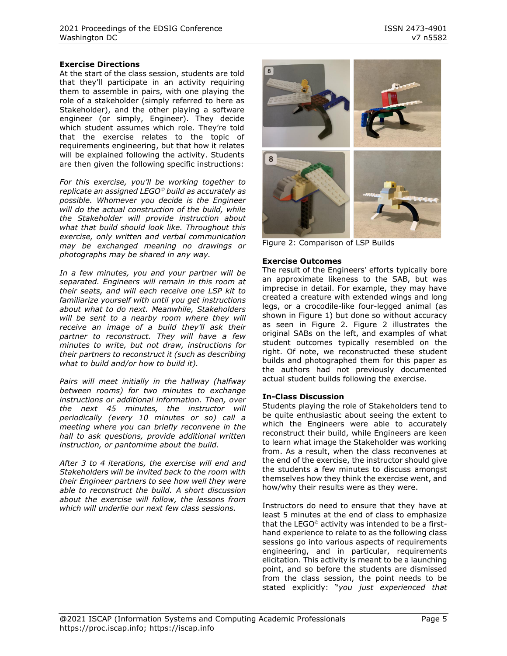At the start of the class session, students are told that they'll participate in an activity requiring them to assemble in pairs, with one playing the role of a stakeholder (simply referred to here as Stakeholder), and the other playing a software engineer (or simply, Engineer). They decide which student assumes which role. They're told that the exercise relates to the topic of requirements engineering, but that how it relates will be explained following the activity. Students are then given the following specific instructions:

*For this exercise, you'll be working together to replicate an assigned LEGO*© *build as accurately as possible. Whomever you decide is the Engineer will do the actual construction of the build, while the Stakeholder will provide instruction about what that build should look like. Throughout this exercise, only written and verbal communication may be exchanged meaning no drawings or photographs may be shared in any way.*

*In a few minutes, you and your partner will be separated. Engineers will remain in this room at their seats, and will each receive one LSP kit to familiarize yourself with until you get instructions about what to do next. Meanwhile, Stakeholders will be sent to a nearby room where they will receive an image of a build they'll ask their partner to reconstruct. They will have a few minutes to write, but not draw, instructions for their partners to reconstruct it (such as describing what to build and/or how to build it).* 

*Pairs will meet initially in the hallway (halfway between rooms) for two minutes to exchange instructions or additional information. Then, over the next 45 minutes, the instructor will periodically (every 10 minutes or so) call a meeting where you can briefly reconvene in the hall to ask questions, provide additional written instruction, or pantomime about the build.*

*After 3 to 4 iterations, the exercise will end and Stakeholders will be invited back to the room with their Engineer partners to see how well they were able to reconstruct the build. A short discussion about the exercise will follow, the lessons from which will underlie our next few class sessions.*



Figure 2: Comparison of LSP Builds

#### **Exercise Outcomes**

The result of the Engineers' efforts typically bore an approximate likeness to the SAB, but was imprecise in detail. For example, they may have created a creature with extended wings and long legs, or a crocodile-like four-legged animal (as shown in Figure 1) but done so without accuracy as seen in Figure 2. Figure 2 illustrates the original SABs on the left, and examples of what student outcomes typically resembled on the right. Of note, we reconstructed these student builds and photographed them for this paper as the authors had not previously documented actual student builds following the exercise.

#### **In-Class Discussion**

Students playing the role of Stakeholders tend to be quite enthusiastic about seeing the extent to which the Engineers were able to accurately reconstruct their build, while Engineers are keen to learn what image the Stakeholder was working from. As a result, when the class reconvenes at the end of the exercise, the instructor should give the students a few minutes to discuss amongst themselves how they think the exercise went, and how/why their results were as they were.

Instructors do need to ensure that they have at least 5 minutes at the end of class to emphasize that the LEGO© activity was intended to be a firsthand experience to relate to as the following class sessions go into various aspects of requirements engineering, and in particular, requirements elicitation. This activity is meant to be a launching point, and so before the students are dismissed from the class session, the point needs to be stated explicitly: "*you just experienced that*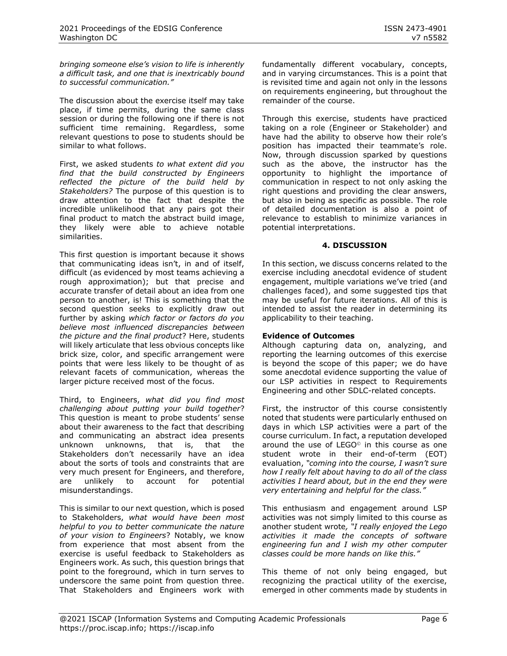*bringing someone else's vision to life is inherently a difficult task, and one that is inextricably bound to successful communication."*

The discussion about the exercise itself may take place, if time permits, during the same class session or during the following one if there is not sufficient time remaining. Regardless, some relevant questions to pose to students should be similar to what follows.

First, we asked students *to what extent did you find that the build constructed by Engineers reflected the picture of the build held by Stakeholders?* The purpose of this question is to draw attention to the fact that despite the incredible unlikelihood that any pairs got their final product to match the abstract build image, they likely were able to achieve notable similarities.

This first question is important because it shows that communicating ideas isn't, in and of itself, difficult (as evidenced by most teams achieving a rough approximation); but that precise and accurate transfer of detail about an idea from one person to another, is! This is something that the second question seeks to explicitly draw out further by asking *which factor or factors do you believe most influenced discrepancies between the picture and the final product*? Here, students will likely articulate that less obvious concepts like brick size, color, and specific arrangement were points that were less likely to be thought of as relevant facets of communication, whereas the larger picture received most of the focus.

Third, to Engineers, *what did you find most challenging about putting your build together*? This question is meant to probe students' sense about their awareness to the fact that describing and communicating an abstract idea presents unknown unknowns, that is, that the Stakeholders don't necessarily have an idea about the sorts of tools and constraints that are very much present for Engineers, and therefore, are unlikely to account for potential misunderstandings.

This is similar to our next question, which is posed to Stakeholders, *what would have been most helpful to you to better communicate the nature of your vision to Engineers*? Notably, we know from experience that most absent from the exercise is useful feedback to Stakeholders as Engineers work. As such, this question brings that point to the foreground, which in turn serves to underscore the same point from question three. That Stakeholders and Engineers work with fundamentally different vocabulary, concepts, and in varying circumstances. This is a point that is revisited time and again not only in the lessons on requirements engineering, but throughout the remainder of the course.

Through this exercise, students have practiced taking on a role (Engineer or Stakeholder) and have had the ability to observe how their role's position has impacted their teammate's role. Now, through discussion sparked by questions such as the above, the instructor has the opportunity to highlight the importance of communication in respect to not only asking the right questions and providing the clear answers, but also in being as specific as possible. The role of detailed documentation is also a point of relevance to establish to minimize variances in potential interpretations.

#### **4. DISCUSSION**

In this section, we discuss concerns related to the exercise including anecdotal evidence of student engagement, multiple variations we've tried (and challenges faced), and some suggested tips that may be useful for future iterations. All of this is intended to assist the reader in determining its applicability to their teaching.

#### **Evidence of Outcomes**

Although capturing data on, analyzing, and reporting the learning outcomes of this exercise is beyond the scope of this paper; we do have some anecdotal evidence supporting the value of our LSP activities in respect to Requirements Engineering and other SDLC-related concepts.

First, the instructor of this course consistently noted that students were particularly enthused on days in which LSP activities were a part of the course curriculum. In fact, a reputation developed around the use of LEGO<sup>®</sup> in this course as one student wrote in their end-of-term (EOT) evaluation, *"coming into the course, I wasn't sure how I really felt about having to do all of the class activities I heard about, but in the end they were very entertaining and helpful for the class."*

This enthusiasm and engagement around LSP activities was not simply limited to this course as another student wrote*, "I really enjoyed the Lego activities it made the concepts of software engineering fun and I wish my other computer classes could be more hands on like this."*

This theme of not only being engaged, but recognizing the practical utility of the exercise, emerged in other comments made by students in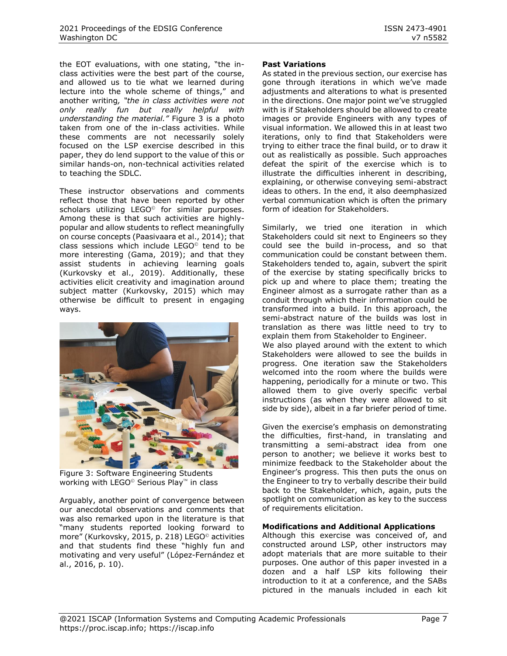the EOT evaluations, with one stating, "the inclass activities were the best part of the course, and allowed us to tie what we learned during lecture into the whole scheme of things," and another writing*, "the in class activities were not only really fun but really helpful with understanding the material."* Figure 3 is a photo taken from one of the in-class activities. While these comments are not necessarily solely focused on the LSP exercise described in this paper, they do lend support to the value of this or similar hands-on, non-technical activities related to teaching the SDLC.

These instructor observations and comments reflect those that have been reported by other scholars utilizing LEGO<sup>®</sup> for similar purposes. Among these is that such activities are highlypopular and allow students to reflect meaningfully on course concepts (Paasivaara et al., 2014); that class sessions which include LEGO© tend to be more interesting (Gama, 2019); and that they assist students in achieving learning goals (Kurkovsky et al., 2019). Additionally, these activities elicit creativity and imagination around subject matter (Kurkovsky, 2015) which may otherwise be difficult to present in engaging ways.



Figure 3: Software Engineering Students working with LEGO<sup>©</sup> Serious Play<sup>™</sup> in class

Arguably, another point of convergence between our anecdotal observations and comments that was also remarked upon in the literature is that "many students reported looking forward to more" (Kurkovsky, 2015, p. 218) LEGO<sup>®</sup> activities and that students find these "highly fun and motivating and very useful" (López-Fernández et al., 2016, p. 10).

#### **Past Variations**

As stated in the previous section, our exercise has gone through iterations in which we've made adjustments and alterations to what is presented in the directions. One major point we've struggled with is if Stakeholders should be allowed to create images or provide Engineers with any types of visual information. We allowed this in at least two iterations, only to find that Stakeholders were trying to either trace the final build, or to draw it out as realistically as possible. Such approaches defeat the spirit of the exercise which is to illustrate the difficulties inherent in describing, explaining, or otherwise conveying semi-abstract ideas to others. In the end, it also deemphasized verbal communication which is often the primary form of ideation for Stakeholders.

Similarly, we tried one iteration in which Stakeholders could sit next to Engineers so they could see the build in-process, and so that communication could be constant between them. Stakeholders tended to, again, subvert the spirit of the exercise by stating specifically bricks to pick up and where to place them; treating the Engineer almost as a surrogate rather than as a conduit through which their information could be transformed into a build. In this approach, the semi-abstract nature of the builds was lost in translation as there was little need to try to explain them from Stakeholder to Engineer. We also played around with the extent to which Stakeholders were allowed to see the builds in progress. One iteration saw the Stakeholders welcomed into the room where the builds were happening, periodically for a minute or two. This allowed them to give overly specific verbal instructions (as when they were allowed to sit

Given the exercise's emphasis on demonstrating the difficulties, first-hand, in translating and transmitting a semi-abstract idea from one person to another; we believe it works best to minimize feedback to the Stakeholder about the Engineer's progress. This then puts the onus on the Engineer to try to verbally describe their build back to the Stakeholder, which, again, puts the spotlight on communication as key to the success of requirements elicitation.

side by side), albeit in a far briefer period of time.

#### **Modifications and Additional Applications**

Although this exercise was conceived of, and constructed around LSP, other instructors may adopt materials that are more suitable to their purposes. One author of this paper invested in a dozen and a half LSP kits following their introduction to it at a conference, and the SABs pictured in the manuals included in each kit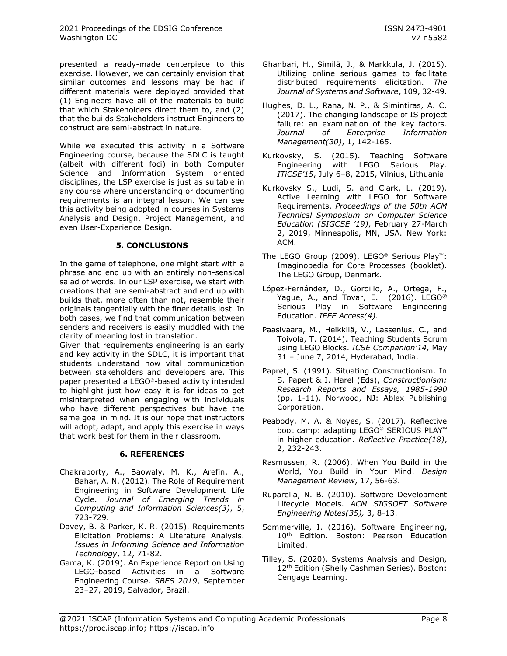presented a ready-made centerpiece to this exercise. However, we can certainly envision that similar outcomes and lessons may be had if different materials were deployed provided that (1) Engineers have all of the materials to build that which Stakeholders direct them to, and (2) that the builds Stakeholders instruct Engineers to construct are semi-abstract in nature.

While we executed this activity in a Software Engineering course, because the SDLC is taught (albeit with different foci) in both Computer Science and Information System oriented disciplines, the LSP exercise is just as suitable in any course where understanding or documenting requirements is an integral lesson. We can see this activity being adopted in courses in Systems Analysis and Design, Project Management, and even User-Experience Design.

#### **5. CONCLUSIONS**

In the game of telephone, one might start with a phrase and end up with an entirely non-sensical salad of words. In our LSP exercise, we start with creations that are semi-abstract and end up with builds that, more often than not, resemble their originals tangentially with the finer details lost. In both cases, we find that communication between senders and receivers is easily muddled with the clarity of meaning lost in translation.

Given that requirements engineering is an early and key activity in the SDLC, it is important that students understand how vital communication between stakeholders and developers are. This paper presented a LEGO<sup>®</sup>-based activity intended to highlight just how easy it is for ideas to get misinterpreted when engaging with individuals who have different perspectives but have the same goal in mind. It is our hope that instructors will adopt, adapt, and apply this exercise in ways that work best for them in their classroom.

#### **6. REFERENCES**

- Chakraborty, A., Baowaly, M. K., Arefin, A., Bahar, A. N. (2012). The Role of Requirement Engineering in Software Development Life Cycle. *Journal of Emerging Trends in Computing and Information Sciences(3)*, 5, 723-729.
- Davey, B. & Parker, K. R. (2015). Requirements Elicitation Problems: A Literature Analysis. *Issues in Informing Science and Information Technology*, 12, 71-82.
- Gama, K. (2019). An Experience Report on Using LEGO-based Activities in a Software Engineering Course. *SBES 2019*, September 23–27, 2019, Salvador, Brazil.
- Ghanbari, H., Similä, J., & Markkula, J. (2015). Utilizing online serious games to facilitate distributed requirements elicitation. *The Journal of Systems and Software*, 109, 32-49.
- Hughes, D. L., Rana, N. P., & Simintiras, A. C. (2017). The changing landscape of IS project failure: an examination of the key factors. *Journal of Enterprise Information Management(30)*, 1, 142-165.
- Kurkovsky, S. (2015). Teaching Software Engineering with LEGO Serious Play. *ITiCSE'15*, July 6–8, 2015, Vilnius, Lithuania
- Kurkovsky S., Ludi, S. and Clark, L. (2019). Active Learning with LEGO for Software Requirements. *Proceedings of the 50th ACM Technical Symposium on Computer Science Education (SIGCSE '19)*, February 27-March 2, 2019, Minneapolis, MN, USA. New York: ACM.
- The LEGO Group (2009). LEGO<sup>©</sup> Serious Play<sup>76</sup>: Imaginopedia for Core Processes (booklet). The LEGO Group, Denmark.
- López-Fernández, D., Gordillo, A., Ortega, F., Yague, A., and Tovar, E. (2016). LEGO<sup>®</sup> Serious Play in Software Engineering Education. *IEEE Access(4).*
- Paasivaara, M., Heikkilä, V., Lassenius, C., and Toivola, T. (2014). Teaching Students Scrum using LEGO Blocks. *ICSE Companion'14,* May 31 – June 7, 2014, Hyderabad, India.
- Papret, S. (1991). Situating Constructionism. In S. Papert & I. Harel (Eds), *Constructionism: Research Reports and Essays, 1985-1990* (pp. 1-11). Norwood, NJ: Ablex Publishing Corporation.
- Peabody, M. A. & Noyes, S. (2017). Reflective boot camp: adapting LEGO<sup>©</sup> SERIOUS PLAY<sup>™</sup> in higher education. *Reflective Practice(18)*, 2, 232-243.
- Rasmussen, R. (2006). When You Build in the World, You Build in Your Mind. *Design Management Review*, 17, 56-63.
- Ruparelia, N. B. (2010). Software Development Lifecycle Models. *ACM SIGSOFT Software Engineering Notes(35),* 3, 8-13.
- Sommerville, I. (2016). Software Engineering, 10<sup>th</sup> Edition. Boston: Pearson Education Limited.
- Tilley, S. (2020). Systems Analysis and Design, 12<sup>th</sup> Edition (Shelly Cashman Series). Boston: Cengage Learning.